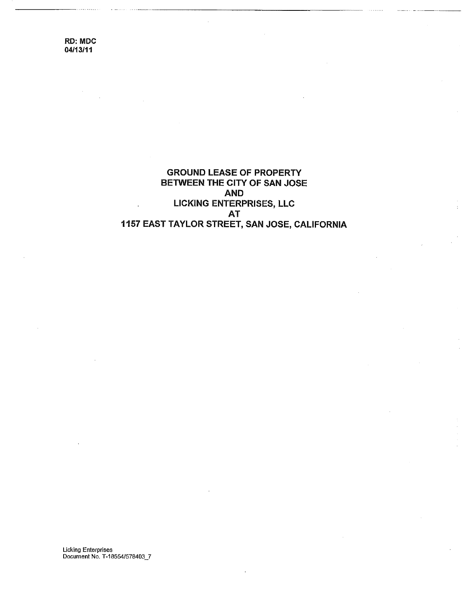> GROUND LEASE OF PROPERTY BETWEEN THE CITY OF SAN JOSE **AND** LICKING ENTERPRISES, LLC AT 1157 EAST TAYLOR STREET, SAN JOSE, CALIFORNIA

**Licking Enterprises** Document No. T-18554/578403\_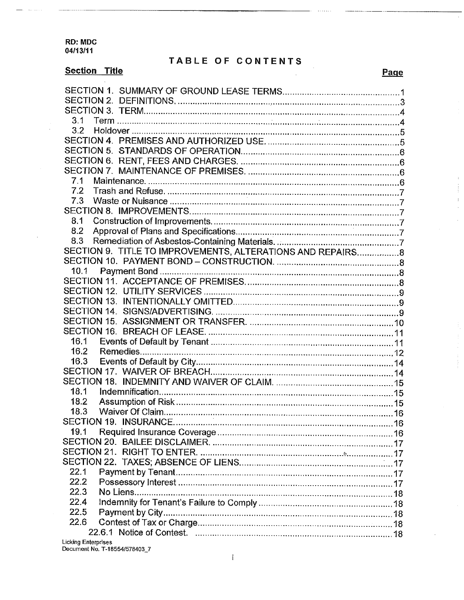# TABLE OF CONTENTS

 $\bar{1}$  $\frac{1}{2}$  $\bar{t}$  $\bar{z}$ 

| 3.1<br>3.2<br>7.1<br>7.2<br>73<br>8.1<br>8.2<br>8.3<br>SECTION 9. TITLE TO IMPROVEMENTS, ALTERATIONS AND REPAIRS8<br>10.1<br>16.1<br>16.2<br>16.3<br>18.1<br>18.2<br>18.3<br>19.1<br>22.1 |
|-------------------------------------------------------------------------------------------------------------------------------------------------------------------------------------------|
|                                                                                                                                                                                           |
|                                                                                                                                                                                           |
|                                                                                                                                                                                           |
|                                                                                                                                                                                           |
|                                                                                                                                                                                           |
|                                                                                                                                                                                           |
|                                                                                                                                                                                           |
|                                                                                                                                                                                           |
|                                                                                                                                                                                           |
|                                                                                                                                                                                           |
|                                                                                                                                                                                           |
|                                                                                                                                                                                           |
|                                                                                                                                                                                           |
|                                                                                                                                                                                           |
|                                                                                                                                                                                           |
|                                                                                                                                                                                           |
|                                                                                                                                                                                           |
|                                                                                                                                                                                           |
|                                                                                                                                                                                           |
|                                                                                                                                                                                           |
|                                                                                                                                                                                           |
|                                                                                                                                                                                           |
|                                                                                                                                                                                           |
|                                                                                                                                                                                           |
|                                                                                                                                                                                           |
|                                                                                                                                                                                           |
|                                                                                                                                                                                           |
|                                                                                                                                                                                           |
|                                                                                                                                                                                           |
|                                                                                                                                                                                           |
|                                                                                                                                                                                           |
|                                                                                                                                                                                           |
|                                                                                                                                                                                           |
|                                                                                                                                                                                           |
|                                                                                                                                                                                           |
|                                                                                                                                                                                           |
|                                                                                                                                                                                           |
|                                                                                                                                                                                           |
|                                                                                                                                                                                           |
| 22.2                                                                                                                                                                                      |
| 22.3                                                                                                                                                                                      |
| 22.4                                                                                                                                                                                      |
| 22.5                                                                                                                                                                                      |
|                                                                                                                                                                                           |
| 22.6                                                                                                                                                                                      |

Licking Enterprises<br>Document No. T-18554/578403\_7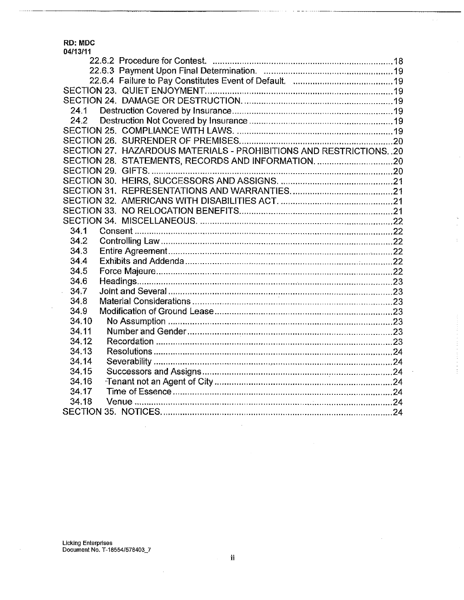$\ldots \ldots$ 

| 24.1                                                              |  |
|-------------------------------------------------------------------|--|
|                                                                   |  |
|                                                                   |  |
|                                                                   |  |
| SECTION 27. HAZARDOUS MATERIALS - PROHIBITIONS AND RESTRICTIONS20 |  |
|                                                                   |  |
|                                                                   |  |
|                                                                   |  |
|                                                                   |  |
|                                                                   |  |
|                                                                   |  |
|                                                                   |  |
| 34.1                                                              |  |
| 34.2                                                              |  |
| 34.3                                                              |  |
| 34.4                                                              |  |
| 34.5                                                              |  |
| 34.6                                                              |  |
| 34.7                                                              |  |
| 34.8                                                              |  |
| 34.9                                                              |  |
| 34.10                                                             |  |
| 34.11                                                             |  |
| 34.12                                                             |  |
| 34.13                                                             |  |
| 34.14                                                             |  |
| 34.15                                                             |  |
| 34.16                                                             |  |
| 34.17                                                             |  |
| 34.18                                                             |  |
|                                                                   |  |
|                                                                   |  |

 $\bar{L}$ 

 $\bar{z}$ 

Ň,  $\sim$ 

 $\hat{\mathcal{X}}$ 

 $\frac{1}{2}$ 

Licking Enterprises<br>Document No. T-18554/578403\_7

 $\bar{\mathcal{A}}$ 

 $\sim$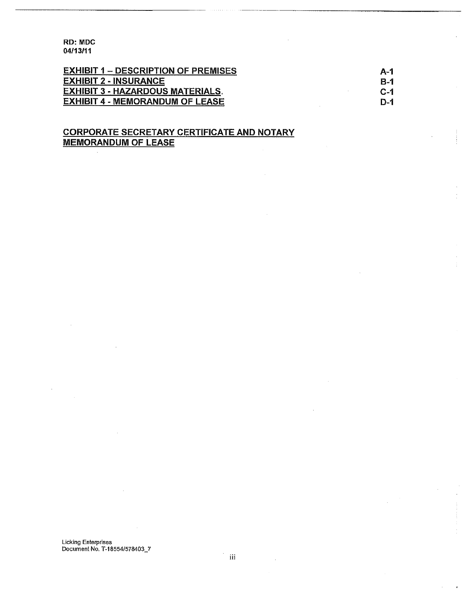| <b>EXHIBIT 1 – DESCRIPTION OF PREMISES</b> | A-1   |
|--------------------------------------------|-------|
| <b>EXHIBIT 2 - INSURANCE</b>               | B-1   |
| EXHIBIT 3 - HAZARDOUS MATERIALS.           | $C-1$ |
| <b>EXHIBIT 4 - MEMORANDUM OF LEASE</b>     | D-1   |

# CORPORATE SECRETARY CERTIFICATE AND NOTARY MEMORANDUM OF LEASE

 $\overline{\phantom{a}}$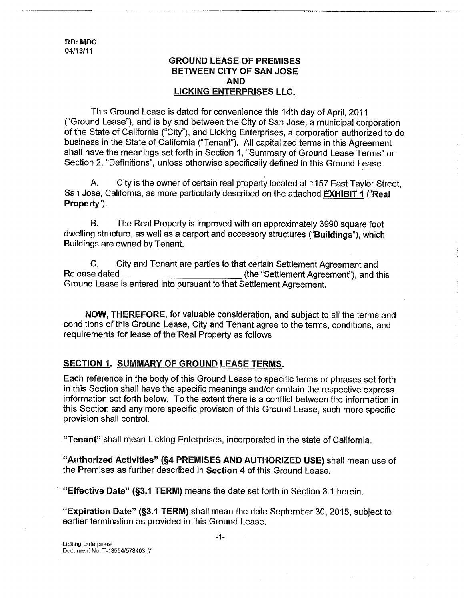## **GROUND LEASE OF PREMISES BETWEEN CITY OF SAN JOSE AND LICKING ENTERPRISES LLC.**

This Ground Lease is dated for convenience this 14th day of April, 2011 ("Ground Lease"), and is by and between the City of San Jose, a municipal corporation of the State of California ("City"), and Licking Enterprises, a corporation authorized to do business in the State of-California ("Tenant"). All capitalized terms in this Agreement shall have the meanings set forth in Section 1, "Summary of Ground Lease Terms" or Section 2, "Definitions", unless otherwise specifically defined in this Ground Lease.

A. City is the owner of certain real property located at 1157 East Taylor Street, San Jose, California, as more particularly described on the attached EXHIBIT 1 ("Real Property").

B. The Real Property is improved with an approximately 3990 square foot dwelling structure, as well as a carport and accessory structures ("Buildings"), which Buildings are owned by Tenant.

C. City and Tenant are parties to that certain Settlement Agreement and Release dated **EXECUTE:** (the "Settlement Agreement"), and this Ground Lease is entered into pursuant to that Settlement Agreement.

NOW, THEREFORE, for valuable consideration, and subject to all the terms and conditions of this Ground Lease, City and Tenant agree to the terms, conditions, and requirements for lease of the Real Property as follows

## **SECTION 1. SUMMARY OF GROUND LEASE TERMS.**

Each reference in the body of this Ground Lease to specific terms or phrases set forth in this Section shall have the specific meanings and/or contain the respective express information set forth below. To the extent there is a conflict between the information in this Section and any more specific provision of this Ground Lease, such more specific provision shall control.

"Tenant" shall mean Licking Enterprises, incorporated in the state of California.

"Authorized Activities" (§4 PREMISES AND AUTHORIZED USE) shall mean use of the Premises as further described in Section 4 of this Ground Lease.

"Effective Date" (§3.1 TERM) means the date set forth in Section 3.1 herein.

"'Expiration Date" (§3.1 TERM) shall mean the date September 30, 2015, subject to earlier termination as provided in this Ground Lease.

**-1-**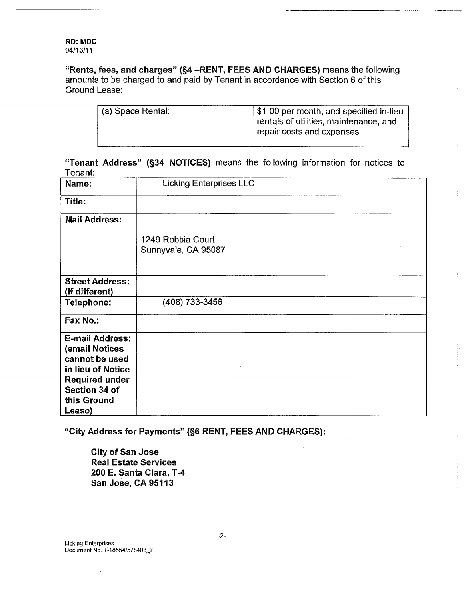"Rents, fees, and charges" (§4 -RENT, FEES AND CHARGES) means the following amounts to be charged to and paid by Tenant in accordance with Section 6 of this Ground Lease:

| (a) Space Rental: | \$1.00 per month, and specified in-lieu<br>rentals of utilities, maintenance, and |
|-------------------|-----------------------------------------------------------------------------------|
|                   |                                                                                   |
|                   | repair costs and expenses                                                         |
|                   |                                                                                   |

**"Tenant Address" (§34 NOTICES) means the following information for notices to** Tenant:

| Name:                                    | <b>Licking Enterprises LLC</b>           |
|------------------------------------------|------------------------------------------|
| Title:                                   |                                          |
| <b>Mail Address:</b>                     |                                          |
|                                          | 1249 Robbia Court<br>Sunnyvale, CA 95087 |
| <b>Street Address:</b><br>(If different) |                                          |
| Telephone:                               | (408) 733-3456                           |
| Fax No.:                                 |                                          |
| <b>E-mail Address:</b>                   |                                          |
| (email Notices                           |                                          |
| cannot be used                           |                                          |
| in lieu of Notice                        |                                          |
| <b>Required under</b>                    |                                          |
| Section 34 of                            |                                          |
| this Ground                              |                                          |
| Lease)                                   |                                          |

"City Address for Payments" (§6 RENT, FEES AND CHARGES):

City of San Jose Real Estate Services 200 E. Santa Clara, T-4 San Jose, CA 95113

Licking Enterprises Document No. T-18554/578403\_7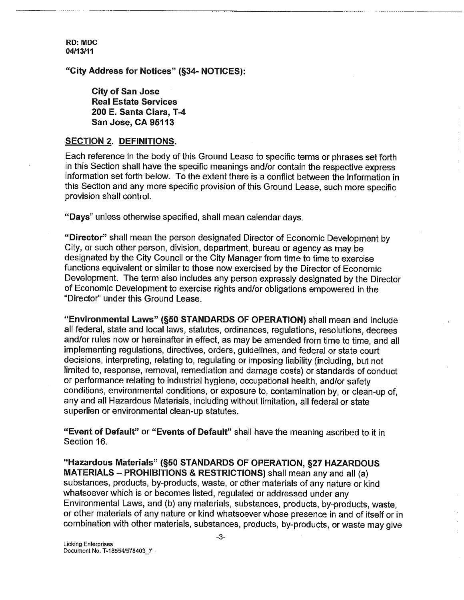**"City Address for Notices" (§34- NOTICES):**

**City of San Jose Real Estate Services 200 E. Santa Clara, T-4 San Jose, CA 95113** 

### **SECTION 2. DEFINITIONS.**

Each reference in the body of this Ground Lease to specific terms or phrases set forth in this Section shall have the specific meanings and/or contain the respective express information set forth below. To the extent there is a conflict between the information in this Section and any more specific provision of this Ground Lease, such more specific provision shall control.

"Days" unless otherwise specified, shall mean calendar days.

"Director" shall mean the person designated Director of Economic Development by City, or such other person, division, department, bureau or agency as may be designated by the City Council or the City Manager from time to time to exercise functions equivalent or similar to those now exercised by the Director of Economic Development. The term also includes any person expressly designated by the Director of Economic Development to exercise rights and/or obligations empowered in the "Director" under this Ground Lease.

**"Environmental** Laws" (§50 STANDARDS OF OPERATION) shall mean and include all federal, state and local laws, statutes, ordinances, regulations, resolutions, decrees and/or rules now or hereinafter in effect, as may be amended from time to time, and all implementing regulations, directives, orders, guidelines, and federal or state court decisions, interpreting, relating to, regulating or imposing liability (including, but not limited to, response, removal, remediation and damage costs) or standards of conduct or performance relating to industrial hygiene, occupational health, and/or safety conditions, environmental conditions, or exposure to, contamination by, or clean-up of, any and all Hazardous Materials, including without limitation, all federal or state superlien or environmental clean-up statutes.

**"Event of Default" or "Events of Default" shall have the meaning ascribed to it in** Section 16.

**"Hazardous Materials" (§50 STANDARDS OF OPERATION, §27 HAZARDOUS MATERIALS -** PROHIBITIONS & RESTRICTIONS) shall mean any and all (a) substances, products, by-products, waste, or other materials of any nature or kind whatsoever which is or becomes listed, regulated or addressed under any Environmental Laws, and (b) any materials, substances, products, by-products, waste, or other materials of any nature or kind whatsoever whose presence in and of itself or in combination with other materials, substances, products, by-products, or waste may give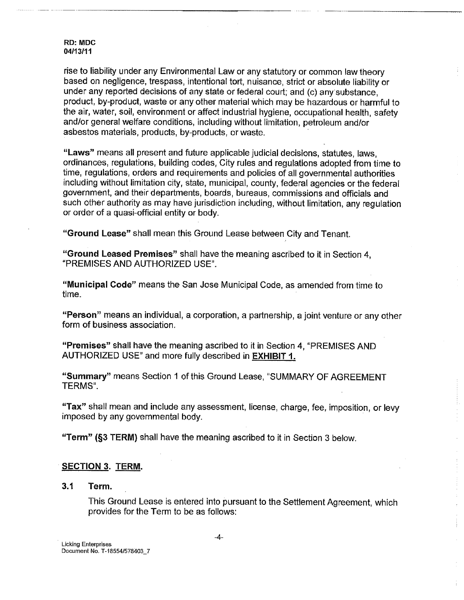rise to liability under any Environmental Law or any statutory or common law theory based on negligence, trespass, intentional tort, nuisance, strict or absolute liability or under any reported decisions of any state or federal court; and (c) any'substance, product, by-product, waste or any other material which may be hazardous or harmful to the air, water, soil, environment or affect industrial hygiene, occupational health, safety and/or general welfare conditions, including without limitation, petroleum and/or asbestos materials, products, by-products, or waste.

"Laws" means all present and future applicable judicial decisions, statutes, laws, ordinances, regulations, building codes, City rules and regulations adopted from time to time, regulations, orders and requirements and policies of all governmental authorities including without limitation city, state, municipal, county, federal agencies or the federal government, and their departments, boards, bureaus, commissions and officials and such other authority as may have jurisdiction including, without limitation, any regulation or order of a quasi-official entity or body.

**"Ground Lease"** shall mean this Ground Lease between City and Tenant.

**"Ground Leased Premises"** shall have the meaning ascribed to it in Section 4, "PREMISES AND AUTHORIZED USE".

"Municipal Code" means the San Jose Municipal Code, as amended from time to time.

"Person" means an individual, a corporation, a partnership, a joint venture or any other form of business association.

"Premises" shall have the meaning ascribed to it in Section 4, "PREMISES AND AUTHORIZED USE" and more fully described in EXHIBIT 1.

"Summary" means Section 1 of this Ground Lease, "SUMMARY OF AGREEMENT TERMS".

"Tax" shall mean and include any assessment, license, charge, fee, imposition, or levy imposed by any governmental body.

"Term" (§3 TERM) shall have the meaning ascribed to it in Section 3 below.

## **SECTION 3. TERM.**

## **3.1 Term.**

This Ground Lease is entered into pursuant to the Settlement Agreement, which provides for the Term to be as follows: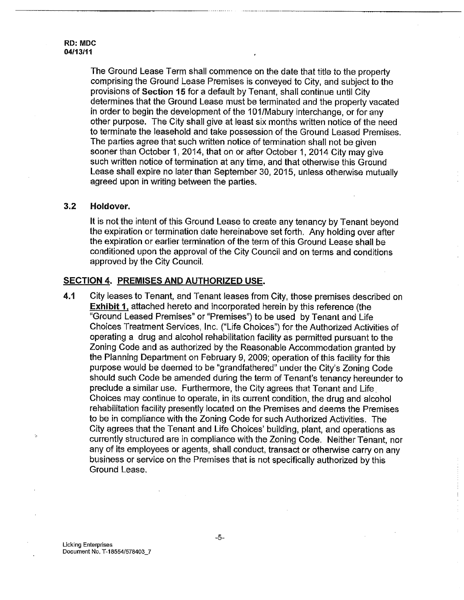The Ground Lease Term shall commence on the date that title to the property comprising the Ground Lease Premises is conveyed to City, and subject to the provisions of Section 15 for a default by Tenant, shall continue until City determines that the Ground Lease must be terminated and the property vacated in order to begin the development of the 101/Mabury interchange, or for any other purpose. The City shall give at least six months written notice of the need to terminate the leasehold and take possession of the Ground Leased Premises. The parties agree that such written notice of termination shall not be given sooner than October 1, 2014, that on or after October 1, 2014 City may give such written notice of termination at any time, and that otherwise this Ground Lease shall expire no later than September 30, 2015, unless otherwise mutually agreed upon in writing between the parties.

### **3.2 Holdover.**

It is not the intent of this Ground Lease to create any tenancy by Tenant beyond the expiration or termination date hereinabove set forth. Any holding over after the expiration or earlier termination of the term of this Ground Lease shall be conditioned upon the approval of the City Council and on terms and conditions approved by the City Council.

## **SECTION 4, PREMISES AND AUTHORIZED USE.**

4,1 City leases to Tenant, and Tenant leases from City, those premises described on Exhibit 1, attached hereto and incorporated herein by this reference (the "Ground Leased Premises" or "Premises") to be used by Tenant and Life Choices Treatment Services, Inc. ("Life Choices") for the Authorized Activities of operating a drug and alcohol rehabilitation facility as permitted pursuant to the Zoning Code and as authorized by the Reasonable Accommodation granted by the Planning Department on February 9, 2009; operation of this facility for this purpose would be deemed to be "grandfathered" under the City's Zoning Code should such Code be amended during the term of Tenant's tenancy hereunder to preclude a similar use. Furthermore, the City agrees that Tenant and Life. Choices may continue to operate, in its current condition, the drug and alcohol rehabilitation facility presently located on the Premises and deems the Premises to be in compliance with the Zoning Code for such Authorized Activities. The City agrees that the Tenant and Life Choices' building, plant, and operations as currently structured are in compliance with the Zoning Code. Neither Tenant, nor any of its employees or agents, shall conduct, transact or otherwise carry on any business or service on the Premises that is not specifically authorized by this Ground Lease.

 $\overline{\mathbf{r}}$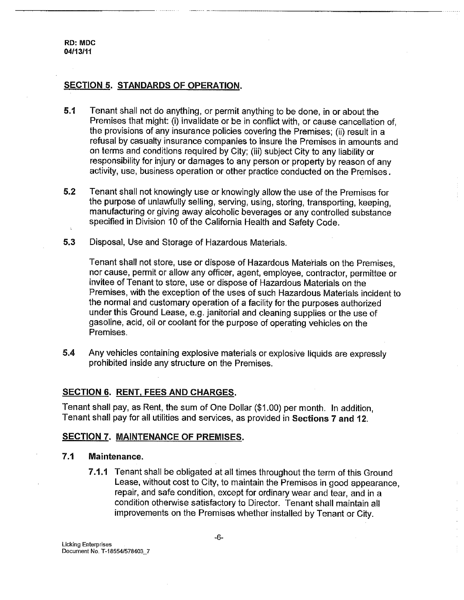RD: **MDC 04/t 3/11**

## **SECTION** 5. STANDARDS OF OPERATION.

- **5.1** Tenant shall not do anything, or permit anything to be done, in or about the Premises that might: (i) invalidate or be in conflict with, or cause cancellation of, the provisions of any insurance policies covering the Premises; (ii) result in a refusal by casualty insurance companies to insure the Premises in amounts and on terms and conditions required by City; (iii) subject City to any liability or responsibility for injury or damages to any person or property by reason of any activity, use, business operation or other practice conducted on the Premises.
- **5.2** Tenant shall not knowingly use or knowingly allow the use of the Premises for the purpose of unlawfully selling, serving, using, storing, transporting, keeping, manufacturing or giving away alcoholic beverages or any controlled substance specified in Division 10 of the California Health and Safety Code.
- 5.3 Disposal, Use and Storage of Hazardous Materials.

Tenant shall not store, use or dispose of Hazardous Materials on the Premises, nor cause, permit or allow any officer, agent, employee, contractor, permittee or invitee of Tenant to store, use or dispose of Hazardous Materials on the Premises, with the exception of the uses of such Hazardous Materials incident to the normal and customary operation of a facility for the purposes authorized under this Ground Lease, e.g. janitorial and cleaning supplies or the use of gasoline, acid, oil or coolant for the purpose of operating vehicles on the Premises.

**5.4** Any vehicles containing explosive materials or explosive liquids are expressly prohibited inside any structure on the Premises.

### **SECTION 6. RENT, FEES AND CHARGES.**

Tenant shall pay, as Rent, the sum of One Dollar (\$1.00) per month. In addition, Tenant shall pay for all utilities and services, as provided in Sections 7 and 12.

### **SECTION 7. MAINTENANCE OF PREMISES.**

## **7.1 Maintenance.**

7.1.1 Tenant shall be obligated at all times throughout the term of this Ground Lease, without cost to City, to maintain the Premises in good appearance, repair, and safe condition, except for ordinary wear and tear, and in a condition otherwise satisfactory to Director. Tenant shall maintain all improvements on the Premises whether installed by Tenant or City.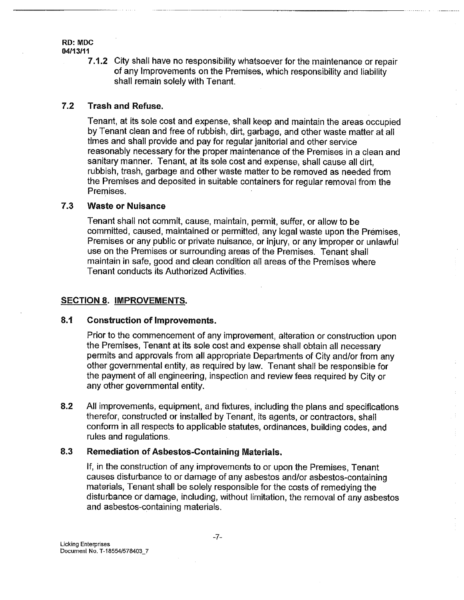#### RD: MDC **04113/t t**

7.1.2 City shall have no responsibility whatsoever for the maintenance or repair of any Improvements on the Premises, which responsibility and liability shall remain solely with Tenant.

#### 7.2 **Trash and Refuse.**

Tenant, at its sole cost and expense, shall keep and maintain the areas occupied by Tenant clean and free of rubbish, dirt, garbage, and other waste matter at all times and shall provide and pay for regular janitorial and other service reasonably necessary for the proper maintenance of the Premises in a clean and sanitary manner. Tenant, at its sole cost and expense, shall cause all dirt, rubbish, trash, garbage and other waste matter to be removed as needed from the Premises and deposited in suitable containers for regular removal from the Premises.

#### 7.3 **Waste or Nuisance**

Tenant shall not commit, cause, maintain, permit, suffer, or allow to be committed, caused, maintained or permitted, any legal waste upon the Premises, Premises or any public or private nuisance, or injury, or any improper or unlawful use on the Premises or surrounding areas of the Premises. Tenant shall maintain in safe, good and clean condition all areas of the Premises where Tenant conducts its Authorized Activities.

## SECTION 8. IMPROVEMENTS.

#### 8.1 **Construction of Improvements.**

Prior to the commencement of any improvement, alteration or construction upon the Premises, Tenant at its sole cost and expense shall obtain all necessary permits and approvals from all appropriate Departments of City and/or from any other governmental entity, as required by law. Tenant shall be responsible for the payment of all engineering, inspection and review fees required by City or any other governmental entity.

÷

**8,2** All improvements, equipment, and fixtures, including the plans and specifications therefor, constructed or installed by Tenant, its agents, or contractors, shall conform in all respects to applicable statutes, ordinances, building codes, and rules and regulations.

#### 8.3 **Remediation of Asbestos-Containing Materials,**

If, in the construction of any. improvements to or upon the Premises, Tenant causes disturbance to or damage of any asbestos and/or asbestos-containing materials, Tenant shall be solely responsible for the costs of remedying the disturbance or damage, including, without limitation, the removal of any asbestos and asbestos-c0ntaining materials.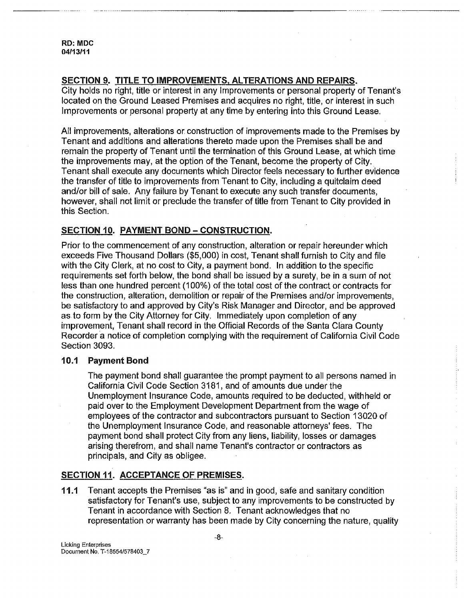**RD: MDC 04113111**

## **SECTION 9. TITLE TO IMPROVEMENTS, ALTERATIONS AND REPAIRS.**

City holds no right, title or interest in any Improvements or personal property of Tenant's located on the Ground Leased Premises and acquires no right, title, or interest in such Improvements or personal property at any time by entering into this Ground Lease.

All improvements, alterations or. construction of improvements made to the Premises by Tenant and additions and alterations thereto made upon the Premises shall be and remain the property of Tenant until the termination of this Ground Lease, at which time the improvements may, at the option of the Tenant, become the property of City.. Tenant shall execute any documents which Director feels necessary to further evidence the transfer of title to improvements from Tenant to City, including a quitclaim deed and/or bill of sale. Any failure by Tenant to execute any such transfer documents, however, shall not limit or preclude the transfer of title from Tenant to City provided in this Section.

## **SECTION 10. PAYMENT BOND - CONSTRUCTION.**

Prior to the commencement of any construction, alteration or repair hereunder which exceeds Five Thousand Dollars (\$5,000) in cost, Tenant shall furnish to City and file with the City Clerk, at no cost to City, a payment bond. In addition to the specific requirements set forth below, the bond shall be issued by a surety, be in a sum of not less than one hundred percent (100%) of the total cost of the contract or contracts for the construction, alteration, demolition or repair of the Premises and/or improvements, be satisfactory to and approved by City's Risk Manager and Director, and be approved as.to form by the City Attorney for City. Immediately upon completion of any improvement, Tenant shall record in the Official Records of the Santa Clara County Recorder a notice of completion complying with the requirement of California Civil Code Section 3093.

## **10,1 Payment Bond**

The payment bond shall guarantee the prompt payment to all persons named in California Civil Code Section 3181, and of amounts due under the Unemployment Insurance Code, amounts required to be deducted, withheld or paid over to the Employment Development Department from the wage of employees of the contractor and subcontractors pursuant to Section 13020 of the Unemployment Insurance Code, and reasonable attorneys' fees. The payment bond shall protect City from any liens, liability, losses or damages arising therefrom, and shall name Tenant's contractor or contractors as principals, and City as obligee.

## **SECTION 11. ACCEPTANCE OF PREMISES.**

**11.t** Tenant accepts the Premises "as is" and in good, safe and sanitary condition satisfactory for Tenant's use, subject to any improvements to be constructed by Tenant in accordance with Section 8. Tenant acknowledges that no representation or warranty has been made by City concerning the nature, quality

**Licking** Enterprises Document. No. T-18554/578403\_7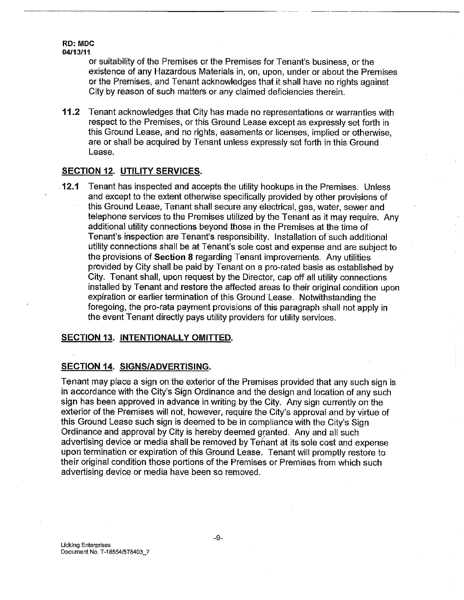or suitability of the Premises or the Premises for Tenant's business, or the existence of any Hazardous Materials in, on, upon, under or about the Premises or the Premises, and Tenant acknowledges that it shall have no rights against City by reason of such matters or any claimed deficiencies therein.

**11.2** Tenant acknowledges that City has made no representations or warranties with respect to the Premises, or this Ground Lease except as expressly set forth in this Ground Lease, and no rights, easements or licenses, implied or otherwise, are or shall be acquired by Tenant unless expressly set forth in this Ground Lease.

## SECTION 12. UTILITY SERVICES.

**¯ 12.1** Tenant has inspected and accepts the utility hookups in the Premises. Unless and except to the extent otherwise specifically provided by other provisions of this Ground Lease, Tenant shall secure any electrical, gas, water, sewer and telephone services to the Premises utilized by the Tenant as it may require. Any additional utility connections beyond those in the Premises at the time of Tenant's inspection are Tenant's responsibility. Installation of such additional utility connections shall be at Tenant's sole cost and expense and are subject to the provisions of Section 8 regarding Tenant improvements. Any utilities provided by City shall be paid by Tenant on a pro-rated basis as established by City. Tenant shall, upon request by the Director, cap off all utility connections installed by Tenant and restore the affected areas to their original condition upon expiration or earlier termination of this Ground Lease. Notwithstanding the foregoing, the pro-rata payment provisions of this paragraph shall not apply in the event Tenant directly pays utility providers for utility services.

## SECTION 13. INTENTIONALLY OMITTED.

## **SECTION 14. SIGNSIADVERTISING.**

Tenant may place a sign on the exterior of the Premises provided that any such sign is in accordance with the City's Sign Ordinance and the design and location of any such sign has been approved in advance in writing by the City. Any sign currently on the exterior of the Premises will not, however, require the City's approval and by virtue of this Ground Lease such sign is deemed to be in compliance with the City's Sign Ordinance and approval by City is hereby deemed granted. Any and all such advertising device or media shall be removed by Tehant at its sole cost and expense upon termination or expiration of this Ground Lease. Tenant will promptly restore to their original condition those portions of the Premises or Premises from which such advertising device or media have been so removed.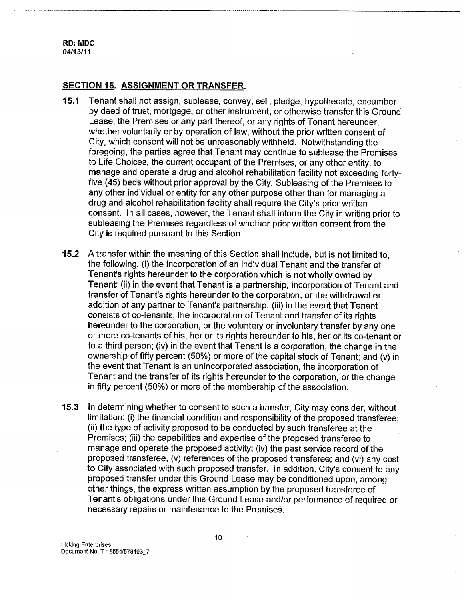## **SECTION 15. ASSIGNMENT OR TRANSFER.**

- 15.1 Tenant shall not assign, sublease, convey, sell, pledge, hypothecate, encumber by deed of trust, mortgage, or other instrument, or otherwise transfer this Ground Lease, the Premises or any part thereof, or any rights of Tenant hereunder, whether voluntarily or by operation of law, without the prior written consent of City, which consent will not be unreasonably withheld. Notwithstanding the foregoing, the parties agree that Tenant may continue to sublease the Premises to Life Choices, the current occupant of the Premises, or any other entity, to manage and operate a drug and alcohol rehabilitation facility not exceeding fortyfive (45) beds without prior approval by the City. Subleasing of the Premises to any other individual or entity for any other purpose other than for managing a drug and alcohol rehabilitation facility shall require the City's prior written consent. In all cases, however, the Tenant shall inform the City in writing prior to subleasing the Premises regardless of whether prior written consent from the City is required pursuant to this Section.
- **15.2** A transfer within the meaning of this Section shall include, but is not limited to, the following: (i) the incorporation of an individual Tenant and the transfer of Tenant's rights hereunder to the corporation which is not wholly owned by Tenant; (ii) in the event that Tenant is a partnership, incorporation of Tenant and transfer of Tenant's rights hereunder to the corporation, or the withdrawal or addition of any partner to Tenant's partnership; (iii) in the event that Tenant consists of co-tenants, the incorporation of Tenant and transfer of its rights hereunder to the corporation, or the voluntary or involuntary transfer by any one or more co-tenants of his, her or its rights hereunder to his, her or its co-tenant or to a third person; (iv) in the event that Tenant is a corporation, the change in the ownership of fifty percent (50%) or more of the capital stock of Tenant; and (v) in the event that Tenant is an unincorporated association, the incorporation of Tenant and the transfer of its rights hereunder to the corporation, or the change in fifty percent (50%) or more of the membership of the association.
- **15,3** In determining whether to consent to such a transfer, City may consider, without limitation: (i) the financial condition and responsibility of the proposed transferee; (ii) the type of activity proposed to be conducted by such transferee at the Premises; (iii) the capabilities and expertise of the proposed transferee to manage and operate the proposed activity; (iv) the past service record of the proposed transferee, (v) references of the proposed transferee; and (vi) any cost to City associated with such proposed transfer. In addition, City's consent to any proposed transfer under this Ground Lease may be conditioned upon, among other things, the express written assumption by the proposed transferee of Tenant's obligations under this Ground Lease and/or performance of required or necessary repairs or maintenance to the Premises.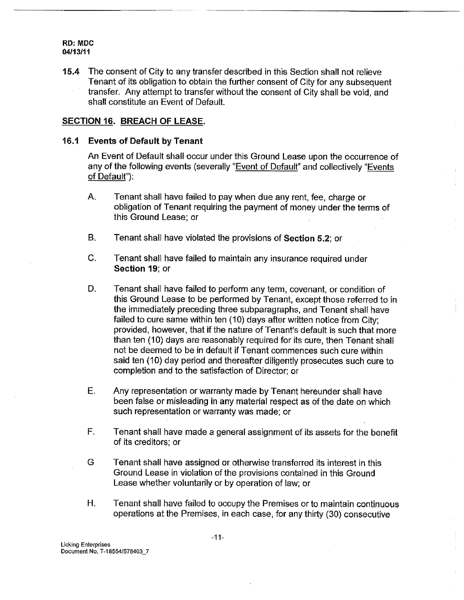**'!5.4** The consent of City to any transfer described in this Section shall not relieve Tenant of its obligation to obtain the further consent of City for any subsequent transfer. Any attempt to transfer without the consent of City shall be void, and shall constitute an Event of Default,

## **SECTION 16. BREACH OF LEASE.**

## 16,1 **Events of Default by Tenant**

An Event of Default shall occur under this Ground Lease upon the occurrence of any of the following events (severally "Event of Default" and collectively "Events of Default"):

- A. Tenant shall have failed to pay when due any rent, fee, charge or obligation of Tenant requiring the payment of money under the terms of this Ground Lease; or
- B. Tenant shall have violated the provisions of Section 5.2; or
- $C_{1}$ Tenant shall have failed to maintain any insurance required under **Section 19; or**
- Tenant shall have failed to perform any term, covenant, or condition of D. this Ground Lease to be performed by Tenant, except those referred to in the immediately preceding three subparagraphs, and Tenant shall have failed to cure same within ten (10) days after written notice from City; provided, however, that if the nature of Tenant's default is such that more than ten (10) days are reasonably required for its cure, then Tenant shall not be deemed to be in default if Tenant commences such cure within said ten (10) day period and thereafter diligently prosecutes such cure to completion and to the satisfaction of Director; or
- E. Any representation or warranty made by Tenant hereunder shall have been false or misleading in any material respect as of the date on which such representation or warranty was made; or
- F. Tenant shafl have made a general assignment of its assets for the benefit of its creditors; or
- G Tenant shall have assigned or otherwise transferred its interest in this Ground Lease in violation of the provisions contained in this Ground Lease whether voluntarily or by operation of law; or
- $H<sub>r</sub>$ Tenant shall have failed to occupy the Premises or to maintain continuous operations at the Premises, in each case, for any thirty (30) consecutive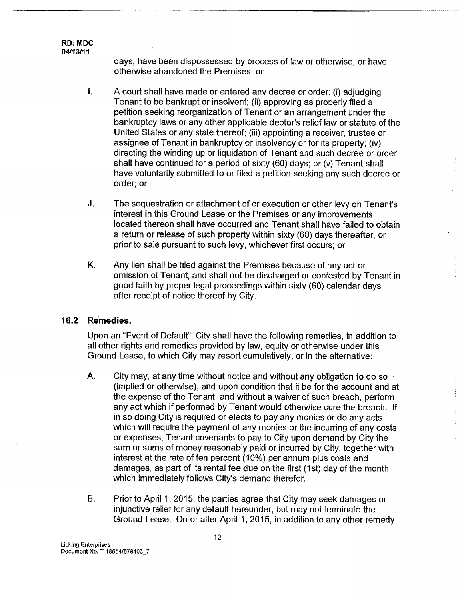> days, have been dispossessed by process of law or otherwise, or have otherwise abandoned the Premises; or

- $\mathbf{I}$ . A court shall have made or entered any decree or order: (i) adjudging Tenant to be bankrupt or insolvent; (ii) approving as properly filed a petition seeking reorganization of Tenant or an arrangement under the bankruptcy laws or any other applicable debtor's relief law or statute of the United States or any state thereof; (iii) appointing a receiver, trustee or assignee of Tenant in bankruptcy or insolvency or for its property; (iv) directing the winding up or liquidation of Tenant and such decree or order shall have continued for a period of sixty (60) days; or (v) Tenant shall have voluntarily submitted to or filed a petition seeking any such decree or order; or
- J. The sequestration or attachment of or execution or other levy on Tenant's interest in this Ground Lease or the Premises or any improvements located thereon shall have occurred and Tenant shall have failed to obtain a return or release of such property within sixty (60) days thereafter, or prior to sale pursuant to such levy, whichever first occurs; or
- K. Any lien shall be filed against the Premises because of any act or omission of Tenant, and shall not be discharged or contested by Tenant in good faith by proper legal proceedings within sixty (60) calendar days after receipt of notice thereof by City.

## **16.2 Remedies.**

Upon an "Event of Default", City shall have the following remedies, in addition to all other rights and remedies provided by law, equity or otherwise under this Ground Lease, to which City may resort cumulatively, or in the alternative:

Α. City may, at any time without notice and without any obligation to do so ¯ (implied or otherwise), and upon condition that it be for the account and at the expense of the Tenant, and without a waiver of such breach, perform any act which if performed by Tenant would otherwise cure the breach. If in so doing City is required or elects to pay any monies or do any acts which will require the payment of any monies or the incurring of any costs or expenses, Tenant covenants to pay to City upon demand by City the sum or sums of money reasonably paid or incurred by City, together with interest at the rate of ten percent (10%) per annum plus costs and damages, as part of its rental fee due on the first (1st) day of the month which immediately follows City's demand therefor.

Ť

 $\mathbf{B}$ . Prior to April 1, 2015, the parties agree that City may seek damages or injunctive relief for any default hereunder, but may not terminate the Ground Lease. On or after April 1,2015, in addition to any other remedy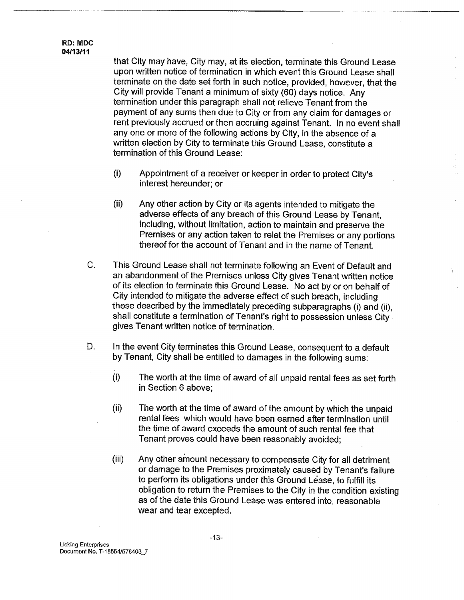that City may have, City may, at its election, terminate this Ground Lease upon written notice of termination in which event this Ground Lease shall terminate on the date set forth in such notice, provided, however, that the City will provide Tenant a minimum of sixty (60) days notice. Any termination under this paragraph shall not relieve Tenant from the payment of any sums then due to City or from any claim for damages or rent previously accrued or then accruing against Tenant. In no event shall any one or more of the following actions by City, in the absence of a written election by City to terminate this Ground Lease, constitute a termination of this Ground Lease:

- **(i)** Appointment of a receiver or keeper in order to protect City's interest hereunder; or
- **(ii)** Any other action by City or its agents intended to mitigate the adverse effects of any breach of this Ground Lease by Tenant, including, without limitation, action to maintain and preserve the Premises or any action taken to relet the Premises or any portions thereof for the account of Tenant and in the name of Tenant,
- C. This Ground Lease shall not terminate following an Event of Default and an abandonment of the Premises unless City gives Tenant written notice of its election to terminate this Ground Lease. No act by or on behalf of City intended to mitigate the adverse effect of such breach, including these described by the immediately preceding subparagraphs (i) and (ii), shall constitute a termination of Tenant's right to possession unless City gives Tenant written notice of termination.
- In the event City terminates this Ground Lease, consequent to a default D. by Tenant, City shall be entitled to damages in the following sums:
	- $(i)$ The worth at the time of award of all unpaid rental fees as set forth .in Section 6 above;
	- **(ii)** The worth at the time of award of the amount by which the unpaid rental fees which would have been earned after termination until the time of award exceeds the amount of such rental fee that Tenant proves could have been reasonably avoided;
	- $(iii)$ Any other amount necessary to compensate City for all detriment or damage to the Premises proximately caused by Tenant's failure to perform its obligations under this Ground Lease, to fulfill its obligation to return the Premises to the City in the condition existing as of the date this Ground Lease was entered into, reasonable wear and tear excepted.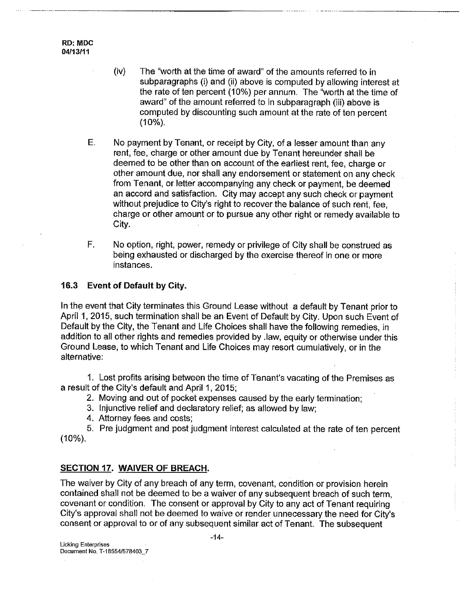**RD: MDC** 04/13111

- **(iv)** The "worth at the time of award" of the amounts referred to in subparagraphs (i) and (ii) above is computed by allowing interest at the rate of ten percent (10%) per annum. The "worth at the time of award" of the amount referred to in subparagraph (iii) above is computed by discounting such amount at the rate of ten percent (10%).
- $E_{\pm}$ No payment by Tenant, or receipt by City, of a lesser amount than any rent, fee, charge or other amount due by Tenant hereunder shall be deemed to be other than on account of the earliest rent, fee, charge or other amount due, nor shall any endorsement or statement on any check from Tenant, or letter accompanying any check or payment, be deemed an accord and satisfaction. City may accept any such check or payment without prejudice to City's right to recover the balance of such rent, fee, charge or other amount or to pursue any other right or remedy available to City.
- F. No option, right, power, remedy or privilege of City shall be construed as being exhausted or discharged by the exercise thereof in one or more instances.

### **16.3 Event of Default by City.**

In the event that City terminates this Ground Lease without a default by Tenant prior to April 1, 2015, such termination shall be an Event of Default by City. Upon such Event of Default by the City, the Tenant and Life Choices shall have the following remedies, in addition to all other rights and remedies provided by .law, equity or otherwise under this Ground Lease, to which Tenant and Life Choices may resort cumulatively, or in the alternative:

1. Lost profits arising between the time of Tenant's vacating of the Premises as a result of the City's default and April 1,2015;

2. Moving and out of pocket expenses caused by the early termination;

3. Injunctive relief and declaratory relief; as allowed by law;

4. Attorney fees and costs;

5. Pre judgment and post judgment interest calculated at the rate of ten percent (10%).

## **SECTION 17. WAIVER OF BREACH.**

The waiver by City of any breach of any term, covenant, condition or provision herein contained shall not be deemed to be a waiver of any subsequent breach of such term, covenant or condition. The consent or approval by City to any act of Tenant requiring City's approval shall not be deemed to waive or render unnecessary the need for City's consent or approval to or of any subsequent similar act of Tenant. The subsequent

 $-14-$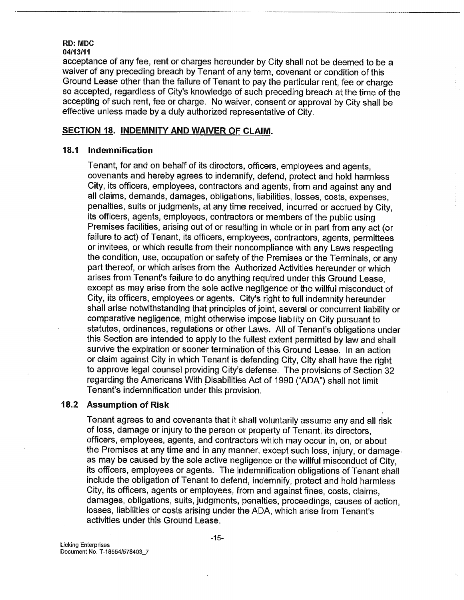acceptance of any fee, rent or charges hereunder by City shall not be deemed to be a waiver of any preceding breach by Tenant of any term, covenant or condition of this Ground Lease other than the failure of Tenant to pay the particular rent, fee or charge so accepted, regardless of City's knowledge of such preceding breach at the time of the accepting of such rent, fee or charge. No waiver, consent or approval by City shall be effective unless made by a duly authorized representative of City.

## **SECTION 18. INDEMNITY AND WAIVER OF CLAIM.**

## **18=1 Indemnification**

Tenant, for and on behalf of its directors, officers, employees and agents, covenants and hereby agrees to indemnify, defend, protect and hold harmless City, its officers, employees, contractors and agents, from and against any and all claims, demands, damages, obligations, liabilities, losses, costs, expenses, penalties, suits or judgments, at any time received, incurred or accrued by City, its officers, agents, employees, contractors or members of the public using Premises facilities, arising out of or resulting in whole or in part from any act (or failure to act) of Tenant, its officers, employees, contractors, agents, permittees or invitees, or which results from their noncompliance with any Laws respecting the condition, use, occupation or safety of the Premises or the Terminals, or any part thereof, or which arises from the Authorized Activities hereunder or which arises from Tenant's failure to do anything required under this Ground Lease, except as may arise from the sole active negligence or the willful misconduct of City, its officers, employees or agents. City's right to full indemnity hereunder shall arise notwithstanding that principles of joint, several or concurrent liability or comparative negligence, might otherwise impose liability on City pursuant to statutes, ordinances, regulations or other Laws. All of Tenant's obligations under this Section are intended to apply to the fullest extent permitted by law and shall survive the expiration or sooner termination of this Ground Lease. In an action or claim against City in which Tenant is defending City, City shall have the right to approve legal counsel providing City's defense. The provisions of Section 32 regarding the Americans With Disabilities Act of 1990 ("ADA") shall not limit Tenant's indemnification under this provision.

#### **18.2 Assumption of Risk**

Tenant agrees to and covenants that it shall voluntarily assume any and all risk of loss, damage or injury to the person or property of Tenant, its directors, officers, employees, agents, and contractors which may occur in, on, or about the Premises at any time and in any manner, except such loss, injury, or damage. as may be caused by the sole active negligence or the willful misconduct of City, its officers, employees or agents. The indemnification obligations of Tenant shall include the obligation of Tenant to defend, indemnify, protect and hold harmless City, its officers, agents or employees, from and against fines, costs, claims, damages, obligations, suits, judgments, penalties, proceedings, causes of action, losses, liabilities or costs arising under the ADA, which arise from Tenant's activities under this Ground Lease.

Licking **Enterprises** Document No. T-18554/578403\_7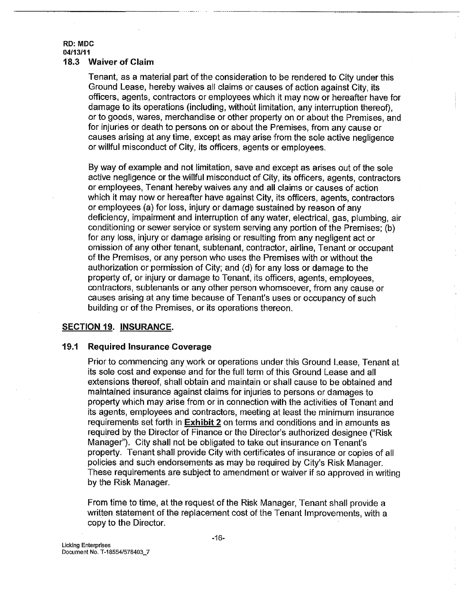### **RD: MDC 04/13/'1 '1** 18.3 Waiver of Claim

Tenant, as a material part of the consideration to be rendered to City under this Ground Lease, hereby waives all claims or causes of action against City, its officers, agents, contractors or employees which it may now or hereafter have for damage to its operations (including, without limitation, any interruption thereof), or to goods, wares, merchandise or other property on or about the Premises, and for injuries or death to persons on or about the Premises, from any cause or causes arising at any time, except as may arise from the sole active negligence or willful misconduct of City, its officers, agents or employees.

By way of example and not limitation, save and except as arises out of the sole active negligence or the willful misconduct of City, its officers, agents, contractors or employees, Tenant hereby waives any and all claims or causes of action which it may now or hereafter have against City, its officers, agents, contractors or employees (a) for loss, injury or damage sustained by reason of any deficiency, impairment and interruption of any water, electrical, gas, plumbing, air conditioning or sewer service or system serving any portion of the Premises; (b) for any loss, injury or damage arising or resulting from any negligent act or omission of any other tenant, subtenant, contractor, airline, Tenant or occupant of the Premises, or any person who uses the Premises with or without the authorization or permission of City; and (d) for any loss or damage to the property of, or injury or damage to Tenant, its officers, agents, employees, contractors, subtenants or any other person whomsoever, from any cause or causes arising at any time because of Tenant's uses or occupancy of such building or of the Premises, or its operations thereon.

## **SECTION 19. INSURANCE.**

## 19.1 **Required Insurance Coverage**

Prior to commencing any.work or operations under this Ground Lease, Tenant at its sole cost and expense and for the full term of this Ground Lease and all extensions thereof, shall obtain and maintain or shall cause to be obtained and maintained insurance against claims for injuries to persons or damages to property which may arise from or in connection with the activities of Tenant and its agents, employees and contractors, meeting at least the minimum insurance requirements set forth in Exhibit 2 on terms and conditions and in amounts as required by the Director of Finance or the Director's authorized designee ("Risk") Manager"). City shall not be obligated to take out insurance on Tenant's property. Tenant shall provide City with certificates of insurance or copies of all policies and such endorsements as may be required by City's Risk Manager. These requirements are subject to amendment or waiver if so approved in writing by the Risk Manager.

From time to time, at the request of the Risk Manager, Tenant shall provide a written statement of the replacement cost of the Tenant Improvements, with a copy to the Director.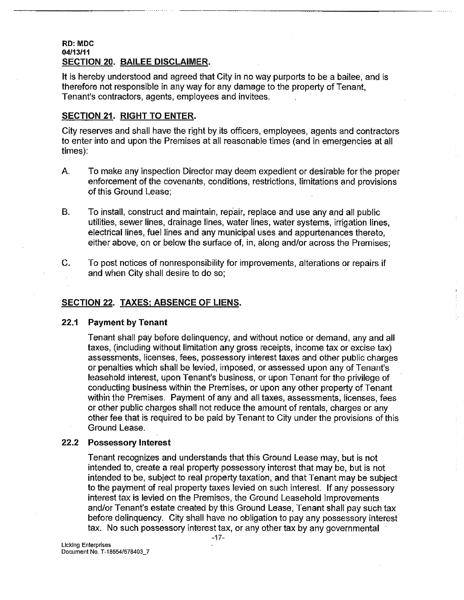### RD: MDC **04/131tt** SECTION 20. BAILEE DISCLAIMER.

It is hereby understood and agreed that City in no way purports to be a bailee, and is therefore not responsible in any way for any damage to the property of Tenant, Tenant's contractors, agents, employees and invitees.

## **SECTION 21, RIGHT TO ENTER.**

City reserves and shall have the right by its officers, employees, agents and contractors to enter into and upon the Premises at all reasonable times (and in emergencies at all times):

- А. To make any inspection Director may deem expedient or desirable for the proper enforcement of the covenants, conditions, restrictions, limitations and provisions of this Ground Lease;
- **B.** To install, construct and maintain, repair, replace and use any and all public utilities, sewer lines, drainage lines, water lines, water systems, irrigation lines, electrical lines, fuel lines and any municipal uses and appurtenances thereto, either above, on or below the surface of, in, along and/or across the Premises;
- C. To post notices of nonresponsibility for improvements, alterations or repairs if and when City shall desire to do so;

## SECTION 22. TAXES; ABSENCE OF LIENS.

## **22,1 Payment by Tenant**

Tenant shall pay before delinquency, and without notice or demand, any and all taxes, (including without limitation any gross receipts, income tax or excise tax) assessments, licenses, fees, possessory interest taxes and other public charges or penalties which shall be levied, imposed, or assessed upon any of Tenant's leasehold interest, upon Tenant's business, or upon Tenant for the privilege of conducting business within the Premises, or upon any other property of Tenant within the Premises. Payment of any and all taxes, assessments, licenses, fees or other public charges shall not reduce the amount of rentals, charges or any other fee that is required to be paid by Tenant to City under the provisions of this Ground Lease.

## **22.2 Possessory Interest**

Tenant recognizes and understands that this Ground Lease may, but is not intended to, create a real property possessory interest that may be, but is not intended to be, subject to real property taxation, and that Tenant may be subject to the payment of real property taxes levied on such interest. If any possessory interest tax is levied on the Premises, the Ground Leasehold Improvements and/or Tenant's estate created by this Ground Lease, Tenant shall pay such tax before delinquency. City shall have no obligation to pay any possessory interest tax. No such possessory interest tax, or any other tax by any governmental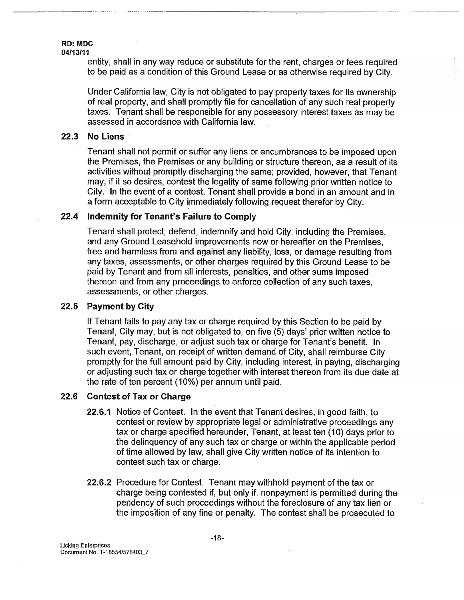entity, shall in any way reduce or substitute for the rent, charges or fees required to be paid as a condition of this Ground Lease or as otherwise required by City.

Under California law, City is not obligated to pay property taxes for its ownership of real property, and shall promptly file for cancellation of any such real property taxes. Tenant shall be responsible for any possessory interest taxes as may be assessed in accordance with California law.

#### **22.3 No Liens**

Tenant shall not permit or suffer any liens or encumbrances to be imposed upon the Premises, the Premises or any building or structure thereon, as a result of its activities without promptly discharging the same; provided, however, that Tenant may, if it so desires, contest the legality of same following prior written notice to City. In the event of a contest, Tenant shall provide a bond in an amount and in a form acceptable to City immediately following request therefor by City.

#### 22.4 Indemnity for Tenant's Failure to **Comply**

Tenant shall protect, defend, indemnify and hold City, including the Premises, and any Ground Leasehold improvements now or hereafter on the Premises, free and harmless from and against any liability, loss, or damage resulting from any taxes, assessments, or other charges required by this Ground Lease to be paid by Tenant and from all interests, penalties, and other sums imposed thereon and from any proceedings to enforce collection of any such taxes, assessments, or other charges.

#### 22.5 **Payment by City**

If Tenant fails to pay any tax or charge required by this Section to be paid by Tenant, City may, but is not obligated to, on five (5) days' prior written notice to Tenant, pay, discharge, or adjust such tax or charge for Tenant's benefit. In. such event, Tenant, on receipt of written demand of City, shall reimburse City promptly for the full amount paid by City, including interest, in paying, discharging or adjusting such tax or charge together with interest thereon from its due date at the rate of ten percent (10%) per annum until paid,

#### 22.6 **Contest of Tax or Charge**

- 22.6.1 Notice of Contest. In the event that Tenant desires, in good faith, to contest or review by appropriate legal or administrative proceedings any tax or charge specified hereunder, Tenant, at least ten (10) days prior to the delinquency of any such tax or charge or within the applicable period of time allowed by law, shall give City written notice of its intention to contest such tax or charge.
- **22.6.2** Procedure for Contest, Tenant may withhold payment of the tax or charge being contested if, but only if, nonpayment is permitted during the pendency of such proceedings without the foreclosure of any tax lien or the imposition of any fine or penalty. The contest shall be prosecuted to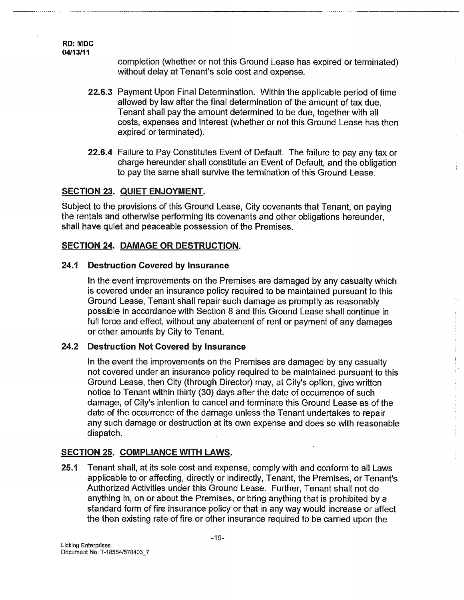**RD:** MDC **04/I 3/11**

> completion (whether or not this Ground Lease has expired or terminated) without delay at Tenant's sole cost and expense.

- **22.6.3** Payment Upon Final Determination. Within the applicable period of time allowed by law after the final determination of the amount of tax due, Tenant shall pay the amount determined to be due, together with all costs, expenses and interest (whether or not this Ground Lease has then expired or terminated)
- 22.6.4 Failure to Pay Constitutes Event of Default. The failure to pay any tax or charge hereunder shall constitute an Event of Default, and the obligation to pay the same shall survive the termination of this Ground Lease.

## SECTION 23. QUIET ENJOYMENT.

Subject to the provisions of this Ground Lease, City covenants that Tenant, on paying the rentals and otherwise performing its covenants and other obligations hereunder, shall have quiet and peaceable possession of the Premises.

## **SECTION 24. DAMAGE OR DESTRUCTION.**

#### 24.1 **Destruction Covered by Insurance**

In the event improvements on the Premises are damaged by any casualty which is covered under an insurance policy required to be maintained pursuant to this Ground Lease, Tenant shall repair such damage as promptly as reasonably possible in accordance with Section 8 and this Ground Lease shall continue in full force and effect, without any abatement of rent or payment of any damages or other amounts by City to Tenant.

 $\ddot{\ddot{\mathrm{i}}}$ 

#### 24.2 **Destruction Not Covered by Insurance**

In the event the improvements on the Premises are damaged by any casualty not covered under an insurance policy required to be maintained pursuant to this Ground Lease, then City (through Director) may, at City's option, give written notice to Tenant within thirty (30) days after the date of occurrence of such damage, of City's intention to cancel and terminate this Ground Lease as of the date of the occurrence of the damage unless the Tenant undertakes to repair any such damage or destruction at its own expense and does so with reasonable dispatch.

## SECTION 25. COMPLIANCE WITH LAWS.

 $25.1$ Tenant shall, at its sole cost and expense, comply with and conform to all Laws applicable to or affecting, directly or indirectly, Tenant, the Premises, or Tenant's Authorized Activities under this Ground Lease. Further, Tenant shall not do anything in, on or about the Premises, or bring anything that is prohibited by a standard form of fire insurance policy or that in any way would increase or affect the then existing rate of fire or other insurance required to be carried upon the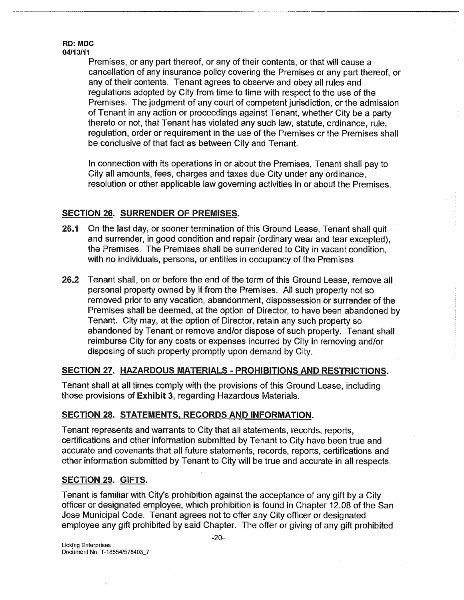### **RD: MDC 04/t 3/1 t**

Premises, or any part thereof, or any of their contents, or that will cause a cancellation of any insurance policy covering the Premises or any part thereof, or any of their oontents. Tenant agrees to observe and obey all rules and regulations adopted by City from time to time with respect to the use of the Premises. The judgment of any court of competent jurisdiction, or the admission of Tenant in any action or proceedings against Tenant, whether City be a party thereto or not, that Tenant has violated any such law, statute, ordinance, rule, regulation, order or requirement in the use of the Premises or the Premises shall be conclusive of that fact as between City and Tenant.

In connection with its operations in or about the Premises. Tenant shall pay to City all amounts, fees, charges and taxes due City under any ordinance, resolution or other applicable law governing activities in or about the Premises.

## **SECTION 26, SURRENDER OF PREMISES.**

- 26.1 On the last day, or sooner termination of this Ground Lease, Tenant shall quit and surrender, in good condition and repair (ordinary wear and tear excepted), the Premises. The Premises shall be surrendered to City in vacant condition, with no individuals, persons, or entities in occupancy of the Premises
- 26,2 Tenant shall, on or before the end of the term of this Ground Lease, remove all. personal property owned by it from the Premises. All such property not so removed prior to any vacation, abandonment, dispossession or surrender of the Premises shall be deemed, at the option of Director, to have been abandoned by Tenant. City may, at the option of Director, retain any such property so abandoned by Tenant or remove and/or dispose of such property. Tenant shall reimburse City for any costs or expenses incurred by City in removing and/or disposing of such property promptly upon demand by City.

# **SECTION 27. HAZARDOUS MATERIALS - PROHIBITIONS AND RESTRICTIONS.**

Tenant shall at all times comply with the provisions of this Ground Lease, including those provisions of Exhibit 3, regarding Hazardous Materials.

## SECTION 28. STATEMENTS, RECORDS AND INFORMATION.

Tenant represents and warrants to City that all statements, records, reports, certifications and other information submitted by Tenant to City have been true and accurate and covenants that all future statements, records, reports, certifications and other information submffted by Tenant to City will be true and accurate in all respects.

## **SECTION 29. GIFTS.**

Tenant is familiar with City's prohibition against the acceptance of any gift by a City officer or designated employee, which prohibition is found in Chapter 12.08 of the San Jose Municipal Code. Tenant agrees not to offer any City officer or designated employee any gift prohibited by said Chapter. The offer or giving of any gift prohibited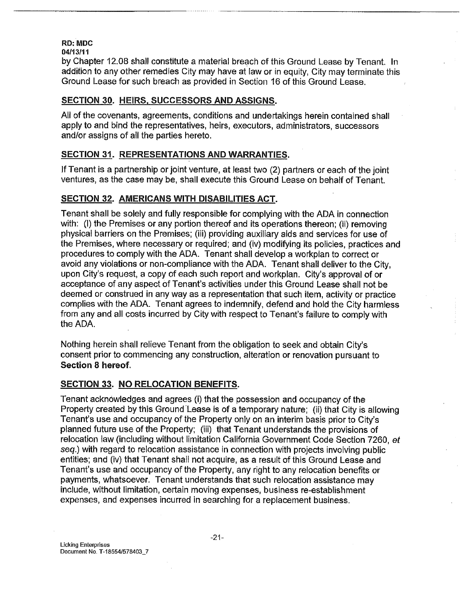# **RD: MDC**

**04/t 3111**

by Chapter 12.08 shall constitute a material breach of this Ground Lease by Tenant, In addition to any other remedies City may have at law or in equity, City may terminate this Ground Lease for such breach as provided in Section 16 of this Ground Lease.

## **SECTION 30. HEIRS, SUCCESSORS AND ASSIGNS.**

All of the covenants, agreements, conditions and undertakings herein contained shall apply to and bind the representatives, heirs, executors, administrators, successors and/or assigns of all the parties hereto.

## **SECTION 31.** REPRESENTATIONS AND WARRANTIES.

if Tenant is a partnership or joint venture, at least two (2) partners or each of the joint ventures, as the case may be, shall execute this Ground Lease on behalf of Tenant.

## **SECTION 32,** AMERICANS WITH DISABILITIES ACT.

Tenant shall be solely and fully responsible for complying with the ADA in connection with: (l) the Premises or any portion thereof and its operations thereon; (ii) removing physical barriers on the Premises; (iii) providing auxiliary aids and services for use of the Premises, where necessary or required; and (iv) modifying its policies, practices and procedures to comply with the ADA. Tenant shall develop a workplan to correct or avoid any violations or non-compliance with the ADA. Tenant shall deliver to the City, upon City's request, a copy of each such report and workplan. City's approval of or acceptance of any aspect of Tenant's activities under this Ground Lease shall not be deemed or construed in any way as a representation that such item, activity or practice complies with the ADA. Tenant agrees to indemnify, defend and hold the City harmless from any and all costs incurred by City with respect to Tenant's failure to comply with the ADA.

Nothing herein shall relieve Tenant from the obligation to seek and obtain City's consent prior to commencing any construction, alteration or renovation pursuant to **Section 8 hereof,**

## **SECTION 33. NO RELOCATION BENEFITS.**

Tenant acknowledges and agrees (i) that the possession and occupancy of the Property created by this Ground Lease is of a temporary nature; (ii) that City is allowing Tenant's use and occupancy of the Property only on an interim basis prior to City's planned future use of the Property; (iii) that Tenant understands the provisions of relocation law (including without limitation California Government Code Section 7260, et seq.) with regard to relocation assistance in connection with projects involving public entities; and (iv) that Tenant shall not acquire, as a result of this Ground Lease and Tenant's use and occupancy of the Property, any right to any relocation benefits or payments, whatsoever. Tenant understands that such relocation assistance may include, without limitation, certain moving expenses, business re-establishment expenses, and expenses incurred in searching for a replacement business.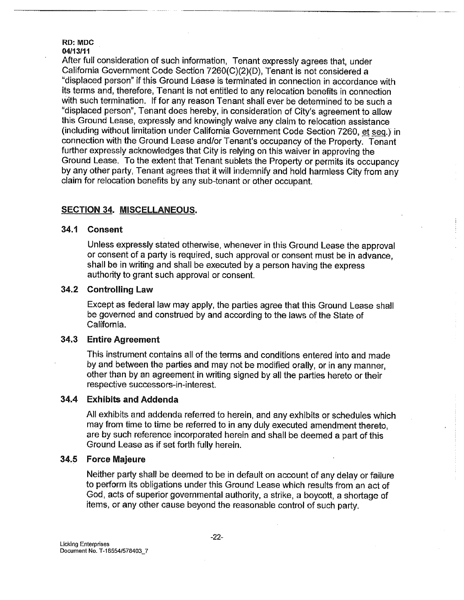RD: MDC

### 04/13111

After full consideration of such information, Tenant expressly agrees that, under California Government Code Section 7260(C)(2)(D), Tenant is not considered a "displaced person" if this Ground Lease is terminated in connection in accordance with its terms and, therefore, Tenant is not entitled to any relocation benefits in connection with such termination. If for any reason Tenant shall ever be determined to be such a "displaced person", Tenant does hereby, in consideration of City's agreement to allow this Ground Lease, expressly and knowingly waive any claim to relocation assistance (including without limitation under California Government Code Section 7260, et seq.) in connection with the Ground Lease and/or Tenant's occupancy of the Property. Tenant further expressly acknowledges that City is relying on this waiver in approving the Ground Lease. To the extent that Tenant sublets the Property or permits its occupancy by any other party, Tenant agrees that it will indemnify and hold harmless City from any claim for relocation benefits by any sub-tenant or other occupant.

## **SECTION 34. MISCELLANEOUS.**

## **34.1 Consent**

Unless expressly stated otherwise, whenever in this Ground Lease the approval or consent of a party is required, such approval or consent must be in advance, shall be in writing and shall be executed by a person having the express authority to grant such approval or consent.

## **34.2 Controlling Law**

Except as federal law may apply, the parties agree that this Ground Lease shall be governed and construed by and according to the laws of the State of California.

#### **34.3 Entire Agreement**

This instrument contains all of the terms and conditions entered into and made by and between the parties and may not be modified orally, or in any manner, other than by an agreement in writing signed by all the parties hereto or their respective successors-in-interest.

#### 34.4 **Exhibits and Addenda**

All exhibits and addenda referred to herein, and any exhibits or schedules which may from time to time be referred to in any duly executed amendment thereto, are by such reference incorporated herein and shall be deemed a part of this Ground Lease as if set forth fully herein.

#### **34.5 Force Majeure**

Neither party shall be deemed to be in default on account of any delay or failure to perform its obligations under this Ground Lease which results from an act of God, acts of superior governmental authority, a strike, a boycott, a shortage of items, or any other cause beyond the reasonable control of such party.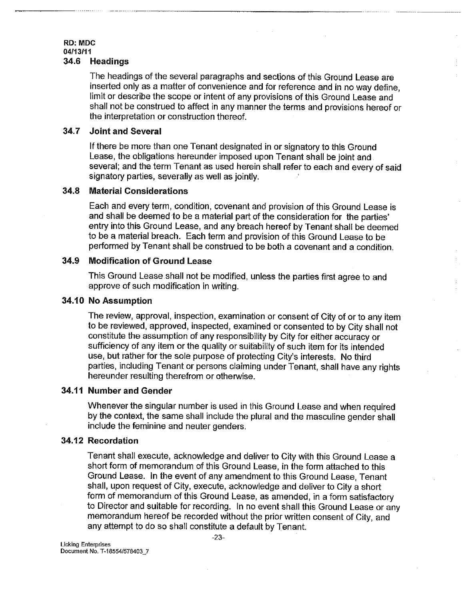# RD: MDC **04113/1 t**

## 34=6 **Headings**

The headings of the several paragraphs and sections of this Ground Lease are inserted only as a matter of convenience and for reference and in no way define, limit or describe the scope or intent of any provisions of this Ground Lease and shall not be construed to affect in any manner the terms and provisions hereof or the interpretation or construction thereof.

## **34.7 Joint and Several**

If there be more than one Tenant designated in or signatory to this Ground Lease, the obligations hereunder imposed upon Tenant shall be joint and several; and the term Tenant as used herein shall refer to each and every of said signatory parties, severally as well as jointly.

#### **34.8 Material Considerations**

Each and every term, condition, covenant and provision of this Ground Lease is and shall be deemed to be a material part of the consideration for the parties' entry into this Ground Lease, and any breach hereof by Tenant shall be deemed to be a material breach. Each term and provision of this Ground Lease to be performed by Tenant shall be construed to be both a covenant and a condition.

#### **34.9 Modification of Ground Lease**

This Ground Lease.shall not be modified, unless the parties first agree to and approve of such modification in writing.

## **34.10 No Assumption**

The review, approval, inspection, examination or consent of City of or to any item to be reviewed, approved, inspected, examined or consented to by City shall not constitute the assumption of any responsibility by City for either accuracy or sufficiency of any item or the quality or suitability of such item for its intended use, but rather for the sole purpose of protecting City's interests. No third parties, including Tenant or persons claiming under Tenant, shall have any rights hereunder resulting therefrom or otherwise.

## **34.11 Number and Gender**

Whenever the singular number is used in this Ground Lease and when required by the context, the same shall include the plural and the masculine gender shall include the feminine and neuter genders.

## **34.12 Recordation**

Tenant shall execute, acknowledge and deliver to City with this Ground Lease a short form of memorandum of this Ground Lease, in the form attached to this Ground Lease. in the event of any amendment to this Ground Lease, Tenant shall, upon request of City, execute, acknowledge and deliver to City a short form of memorandum of this Ground Lease, as amended, in a form satisfactory to Director and suitable for recording. In no event shall this Ground Lease or any memorandum hereof be recorded without the prior written consent of City, and any attempt to do so shall constitute a default by Tenant.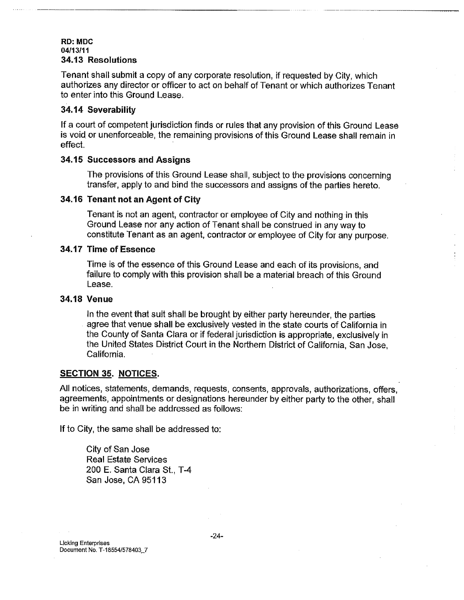### RD: MDC **04113/11 34.13 Resolutions**

Tenant shall submit a copy of any corporate resolution, if requested by City, which authorizes any director or officer to act on behalf of Tenant or which authorizes Tenant to enter into this Ground Lease.

## 34.14 **Severability**

If a court of competent jurisdiction finds or rules that any provision of this Ground Lease is void. or unenforceable, the remaining provisions of this Ground Lease shall remain in effect.

## **34.15 Successors and Assigns**

The provisions of this Ground Lease shall, subject to the provisions concerning transfer, apply to and bind the successors and assigns of the parties hereto.

## **34.16 Tenant not an Agent of City**

Tenant is not an agent, contractor or employee of City and nothing.in this Ground Lease nor any action of Tenant shall be construed in any way to constitute Tenant as an agent, contractor or employee of City for any purpose.

## **34.t7 Time of Essence**

Time is of the essence of this Ground Lease and each of its provisions, and failure to comply with this provision shall be a material breach of this Ground Lease.

## **34,18 Venue**

In the event that suit shall be brought by either party hereunder, the parties agree that venue shall be exclusively vested in the state courts of California in the County of Santa Clara or if federal jurisdiction is appropriate, exclusively in the United States District Court in the Northern District of California, San Jose, California.

## **SECTION 35. NOTICES.**

All notices, statements, demands, requests, consents, approvals, authorizations, offers, agreements, appointments or designations hereunder by either party to the other, shall be in writing and shall be addressed as follows:

If to City, the same shall be addressed to:

City of San Jose Real Estate Services 200 E. Santa Clara St., T-4 San Jose, CA 95113

Licking **Enterprises** Document No. T-18554/578403,\_7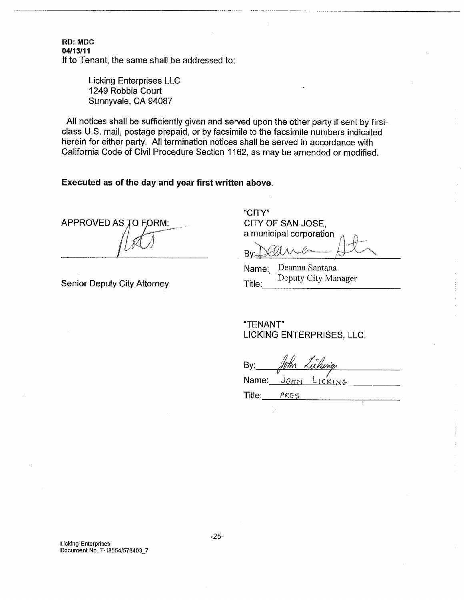**RD: MDC 04/13/11** If to Tenant, the same shall be addressed to:

> Licking Enterprises LLC 1249 Robbia Court Sunnyvale, CA 94087

All notices shall be sufficiently given and served upon the other party if sent by firstclass U.S. mail, postage prepaid, or by facsimile to the facsimile numbers indicated herein for either party. All termination notices shall be served in accordance with California Code of Civil Procedure Section 1162, as may be amended or modified.

## **Executed as of the day and year first written above.**

APPROVED AS TO FORM:

Senior Deputy City Attorney

"CITY" CITY OF SAN JOSE, a municipal corporation

By

Name: Deanna Santana Title: Deputy City Manager

"TENANT" LICKING ENTERPRISES, LLC.

By:  $J$ OHN Name: LICKING

Title: PRES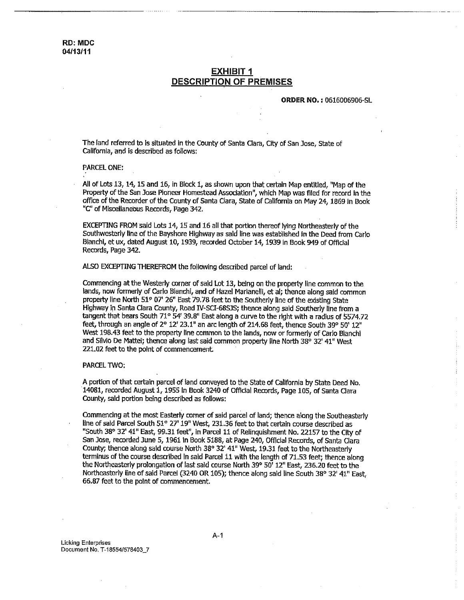## **EXHIBIT 1 DESCRIPTION OF PREMISES**

**ORDER !NO, ;** 06:16006906-SL

The land referred to is situated in the County of Santa Clara, City of San lose, State of California, and is described as follows:

### PARCEL ONE:

All of Lots 13, 14, 15 and 16, In Block 1, as shown upon that certain Map entitled, "Map of the Property of the San Jose Pioneer Homestead Association", which Map was filed for record in the office of the Recorder of the County of Santa Clara, State of California on May 24, 1869 In Book "C" of Miscellaneous Records, Page 342.

EXCEPTING FROM said Lots 14, 15 and 16 all that portion thereof lying Northeasterly of the Southwesterly line of the Bayshore Highway as said line was estalSlished in the Deed from Carlo Bianchi, et ux, dated August 10, 1939, recorded October 14, 1939 in Book 949 of Official Records, Page 342.

ALSO EXCEPTING THEREFROM the following described parcel of land:

Commencing at the Westerly corner of said Lot 13, being on the property line common to the lands, now formerly of Carlo Bianchi, and of Hazel Marianelli, et al; thence along sald common property line North 51° 07' 26" East 79.78 feet to the Southerly line of the existing State Highway in Santa Clara County, Road IV-SCI-68SJS; thence along said Southerly line from a tangent that bears South 71° 54' 39.8" East along a curve to the right with a radius of 5574.72 feet, through an angle of 2° 12' 23.1" an arc length of 214.68 feet, thence South 39° 50' 12" West 198.43 feet to the property line common to the lands, now or formerly of Carlo Bianchl and Silvio De Mattei; thence along last said common property line North 38° 32' 41" West 221.02 feet to the point of commencement.

#### PARCEL TWO;

A pogdon of that certain parcel of land conveyed to the State of California by State Deed No. 14081, recorded August 1, 1955 in Book 3240 of Official Records, Page 105, of Santa Clara County, said portion being described as follows:

Commencing at the most Easterly corner of said parcel of land; thence along the Southeasterly line of said Parcel South 51° 27' 19" West, 231.36 feet to that certain course described as "South 38° 32' 41" East, 99.31 feet", in Parcel 11 of Relinquishment No. 22157 to the City of San Jose, recorded June 5, 1961 in Book 5188, at Page 240, Official Records, of Santa Clara County; thence along said course North 38° 32' 41" West, 19.31 feet to the Northeasterly terminus of the course described in said Parcel 11 with the length of 71.53 feet; thence along the Northeasterly prolongation of last said course North 39° 50' 12" East, 236.20 feet to the Northeasterly line of said Parcel (3240 OR 105); thence along said line South 38° 32' 41" East, 65.B7 feet to the point of commencement.

Licking Enterprises Document No. T-185541578403\_7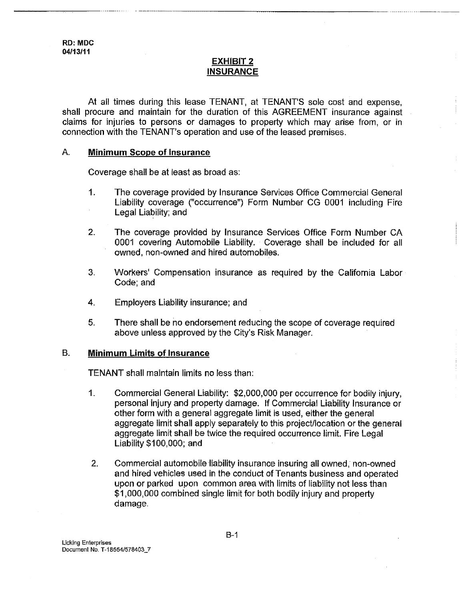## **EXHIBIT 2 INSURANCE**

At all times during this lease TENANT, at TENANT'S sole cost and expense, shall procure and maintain for the duration of this AGREEMENT insurance against claims for injuries to persons or damages to property which may arise from, or in connection with the TENANT's operation and use of the leased premises.

## **A. Minimum Scope of Insurance**

Coverage shall be at least as broad as:

- $1.$ The coverage provided by Insurance Services Office Commercial General Liability coverage ("occurrence") Form Number CG 0001 including Fire Legal Liability; and
- $2.$ The coverage provided by Insurance Services Office Form Number CA 0001 covering Automobile Liability. Coverage shall be included for all owned, non-owned and hired automobiles.
- 3. Workers' Compensation insurance as required by the California Labor Code; and
- Employers Liability insurance; and 4.
- 5. There shall be no endorsement reducing the scope of coverage required above unless approved by the City's Risk Manager.

## **B. Minimum Limits of Insurance**

TENANT shall maintain limits no less than:

- $1.$ Commercial General Liability: \$2,000,000 per occurrence for bodily injury, personal injury and property damage. If Commercial Liability Insurance or other form with a general aggregate limit is used, either the general aggregate limit shall apply separately to this project/location or the general aggregate limit shall be twice the required occurrence limit. Fire Legal Liability \$100,000; and
- 2. Commercial automobile liability insurance insuring all owned, non-owned and hired vehicles used in the conduct of Tenants business and operated upon or parked upon common area with limits of liability not less than \$1,000,000 combined single limit for both bodily injury and property damage.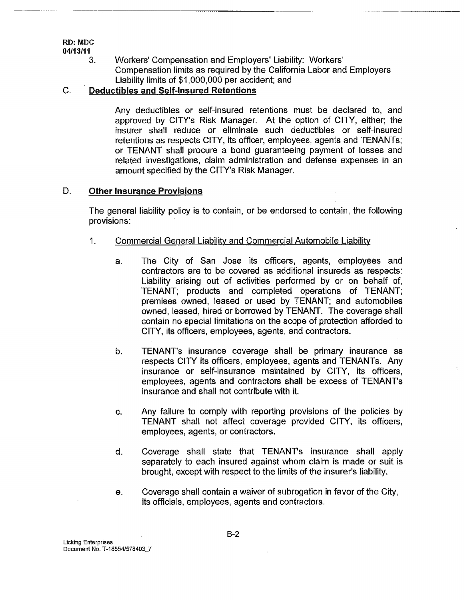**RD:** MDC

041t3/11

3. Workers' Compensation and Employers' Liability: Workers' Compensation limits as required by the California Labor and Employers Liability limits of \$1,000,000 per accident; and

## **C. Deductibles and Self-Insured Retentions**

Any deductibles or self-insured retentions must be declared to, and approved by CITY's Risk Manager. At the option of CITY, either; the insurer shall reduce or eliminate such deductibles or self-insured retentions as respects CITY, its officer, employees, agents and TENANTs; or TENANT shall procure a bond guaranteeing payment of losses and related investigations, claim administration and defense expenses in an amount specified by the CITY's Risk Manager.

## **D. Other Insurance Provisions**

The general liability policy is to contain, or be endorsed to contain, the following provisions:

- $\mathbf 1$ Commercial General Liability and Commercial Automobile Liability
	- $a$ . The City of San Jose its officers, agents, employees and contractors are to be covered as additional insureds as respects: Liability arising out of activities performed by or on behalf of, TENANT; products and completed operations of TENANT; premises owned, leased or used by TENANT; and automobiles owned, leased, hired or borrowed by TENANT. The coverage shall contain no special limitations on the scope of protection afforded to CITY, its officers, employees, agents, and contractors.
	- TENANT's insurance coverage shall be primary insurance as  $b.$ respects CITY its officers, employees, agents and TENANTs. Any insurance or self-insurance maintained by CITY, its officers, employees, agents and contractors shall be excess of TENANT's insurance and shall not contribute with it.
	- C, Any failure to comply with reporting provisions of the policies by TENANT shall not affect coverage provided CITY, its officers, employees, agents, or contractors.
	- d. Coverage shall state that TENANT's insurance shall apply separately to each insured against whom claim is made or suit is brought, except with respect to the limits of the insurer's liability.
	- Coverage shall contain a waiver of subrogation in favor of the City,  $\mathbf{e}$ . its officials, employees, agents and contractors.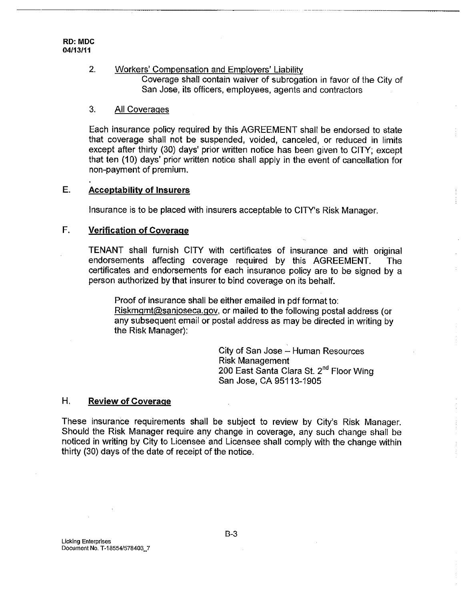#### $2.$ Workers' Compensation and Employers' Liability, Coverage shall contain waiver of subrogation in favor of the City of

San Jose, its officers, employees, agents and contractors

## 3. All Coveraqes

Each insurance policy required by this AGREEMENT shall be endorsed to state that coverage shall not be suspended, voided, canceled, or reduced in limits except after thirty (30) days' prior written notice has been given to CITY; except that ten (10) days' prior written notice shall apply in the event of cancellation for non-payment of premium,

# **E. Acceptability of Insurers**

Insurance is to be placed with insurers acceptable to CITY's Risk Manager.

# **F. Verification of Coverage**

TENANT shall furnish CITY with certificates of insurance and with original endorsements affecting coverage required by this AGREEMENT. The certificates and endorsements for each insurance policy are to be signed by a person authorized by that insurer to bind coverage on its behalf.

Proof of insurance shall be either emailed in pdf format to: Riskmgmt@sanjoseca.gov, or mailed to the following postal address (or any subsequent email or postal address as may be directed in writing by the Risk Manager):

> City of San Jose - Human Resources Risk Management 200 East Santa Clara St. 2<sup>nd</sup> Floor Wing San Jose, CA 95113-1905

## **H. Review of Coverage**

These insurance requirements shall be subject to review by City's Risk Manager. Should the Risk Manager require any change in coverage, any such change shall be noticed in writing by City to Licensee and Licensee shall comply with the change within thirty (30) days of the date of receipt of the notice.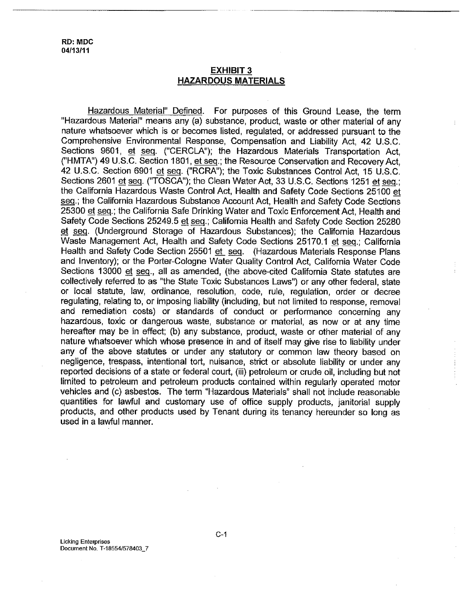## **EXHIBIT 3 HAZARDOUS MATERIALS**

Hazardous Material" Defined. For purposes of this Ground Lease, the term "Hazardous Material" means any (a) substance, product, waste or other material of any nature whatsoever which is or becomes listed, regulated, or addressed pursuant to the Comprehensive Environmental Response, Compensation and Liability Act, 42 U.S.C. Sections 9601, et seq. ("CERCLA"); the Hazardous Materials Transportation Act, ("HMTA") 49 U.S.C. Section 1801, et seq.; the Resource Conservation and Recovery Act, 42 U.S.C. Section 6901 et seq. ("RCRA"); the Toxic Substances Control Act, 15 U.S.C. Sections 2601 et seq. ("TOSCA"); the Clean Water Act, 33 U.S.C. Sections 1251 et seq.; the California Hazardous Waste Control Act, Health and Safety Code Sections 25100 et seq.; the California Hazardous Substance Account Act, Health and Safety Code Sections 25300 et seq.; the California Safe Drinking Water and Toxic Enforcement Act, Health and Safety Code Sections 25249.5 et seq.; California Health and Safety Code Section 25280 et seq. (Underground Storage of Hazardous Substances); the California Hazardous Waste Management Act, Health and Safety Code Sections 25170.1 et seq.; California Health and Safety Code Section 25501 et seq. (Hazardous Materials Response Plans and Inventory); or the Porter-Cologne Water Quality Control Act, California Water Code Sections 13000 et seq., all as amended, (the above-cited California State statutes are collectively referred to as "the State Toxic Substances Laws") or any other federal, state or local statute, law, ordinance, resolution, code, rule, regulation, order or decree regulating, relating to, or imposing liability (including, but not limited to response, removal and remediation costs) or standards of conduct or performance concerning any hazardous, toxic or dangerous waste, substance or material, as now or at any time hereafter may be in effect; (b) any substance, product, waste or other material of any nature whatsoever which whose presence in and of itself may give rise to liability under any of the above statutes or under any statutory or common law theory based on negligence, trespass, intentional tort, nuisance, strict or absolute liability or under any reported decisions of a state or federal court, (iii) petroleum or crude oil, including but not limited to petroleum and petroleum products contained within regularly operated motor vehicles and (c) asbestos. The term "Hazardous Materials" shall not include reasonable quantities for lawful and customary use of office supply products, janitorial supply products, and other products used by Tenant during its tenancy hereunder so long as used in a lawful manner.

Licking Enterprises Document No. T-18554/578403\_7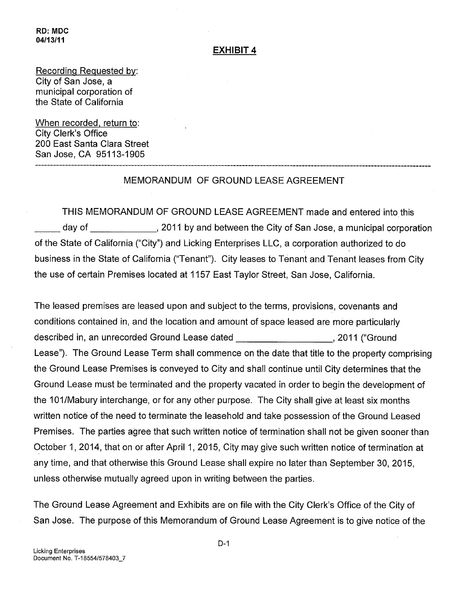# **EXHIBIT 4**

Recording Requested by: City of San Jose, a municipal corporation of the State of California

When recorded, return to: City Clerk's Office 200 East Santa Clara Street San Jose, CA 95113-1905

# MEMORANDUM OF GROUND LEASE AGREEMENT

THIS MEMORANDUM OF GROUND LEASE AGREEMENT made and entered into this day of \_\_\_\_\_\_\_\_\_\_\_\_\_\_, 2011 by and between the City of San Jose, a municipal corporation of the State of California ("City") and Licking Enterprises LLC, a corporation authorized to do business in the State of California ("Tenant"). City leases to Tenant and Tenant leases from City the use of certain Premises located at 1157 East Taylor Street, San Jose, California.

The leased premises are leased upon and subject to the terms, provisions, covenants and conditions contained in, and the location and amount of space leased are more particularly described in, an unrecorded Ground Lease dated , ... (2011 ("Ground Lease"). The Ground Lease Term shall commence on the date that title to the property comprising the Ground Lease Premises is conveyed to City and shall continue until City determines that the Ground Lease must be terminated and the property vacated in order to begin the development of the 101/Mabury interchange, or for any other purpose. The City shall give at least six months written notice of the need to terminate the leasehold and take possession of the Ground Leased Premises. The parties agree that such written notice of termination shall not be given sooner than October 1,2014, that on or after April 1,2015, City may give such written notice of termination at any time, and that otherwise this Ground Lease shall expire no later than September 30, 2015, unless otherwise mutually agreed upon in writing between the parties.

The Ground Lease Agreement and Exhibits are on file with the City Clerk's Office of the City of San Jose. The purpose of this Memorandum of Ground Lease Agreement is to give notice of the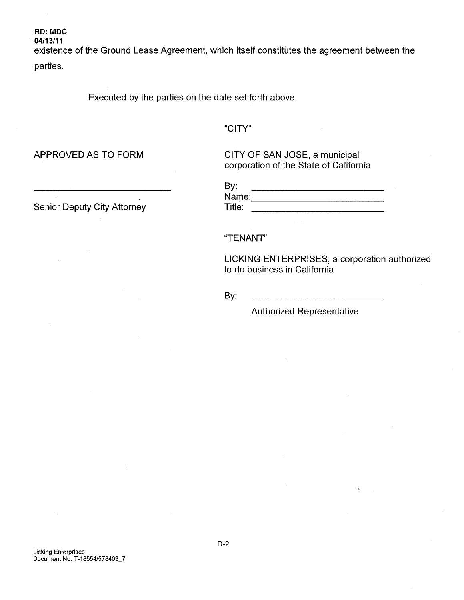existence of the Ground Lease Agreement, which itself constitutes the agreement between the parties.

Executed by the parties on the date set forth above.

"CITY"

APPROVED AS TO FORM

cITY OF SAN JOSE, a municipal corporation of the State of California

| By:    |  |
|--------|--|
| Name:  |  |
| Title: |  |

"TENANT"

LICKING ENTERPRISES, a corporation authorized to do business in California

By:

Authorized Representative

Senior Deputy City Attorney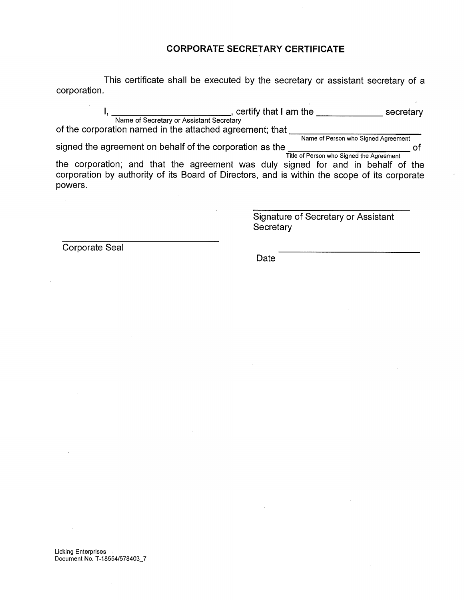## **CORPORATE SECRETARY CERTIFICATE**

This certificate shall be executed by the secretary or assistant secretary of a corporation.

I, \_\_\_\_\_\_\_\_\_\_\_\_\_\_\_\_\_\_\_\_\_\_\_\_\_\_, certify that I am the \_\_\_\_\_\_\_\_\_\_\_\_\_\_\_\_\_ secretary Name of Secretary or Assistant Secretary of the corporation named in the attached agreement; that <u>ware of Person who Signed Agreement</u>

Name of Person who Signed Agreement signed the agreement on behalf of the corporation as the of

Title of Person who Signed the Agreemer the corporation; and that the agreement was duly signed for and in behalf of the corporation by authority of its Board of Directors, and is within the scope of its corporate powers.

> Signature of Secretary or Assistant **Secretary**

Corporate Seal

Date

**Licking Enterprises** Document No. T-18554/578403\_7